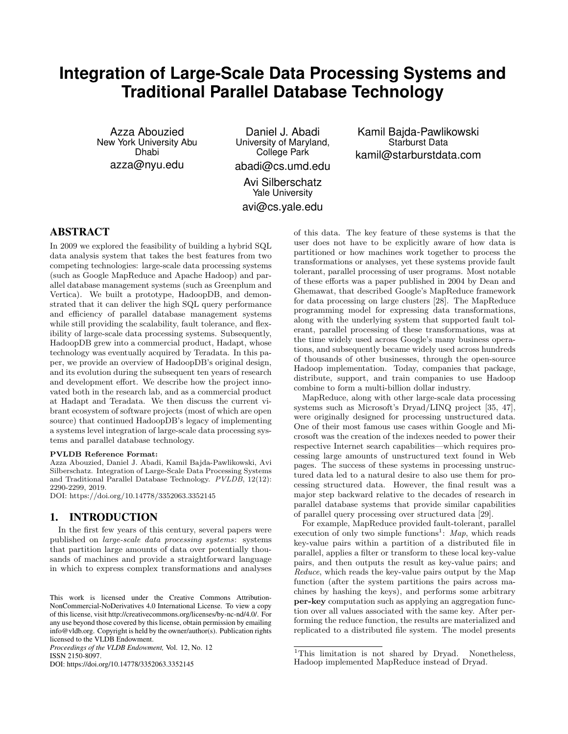# **Integration of Large-Scale Data Processing Systems and Traditional Parallel Database Technology**

Azza Abouzied New York University Abu Dhabi azza@nyu.edu

Daniel J. Abadi University of Maryland, College Park abadi@cs.umd.edu

Kamil Bajda-Pawlikowski Starburst Data kamil@starburstdata.com

Avi Silberschatz Yale University avi@cs.yale.edu

# ABSTRACT

In 2009 we explored the feasibility of building a hybrid SQL data analysis system that takes the best features from two competing technologies: large-scale data processing systems (such as Google MapReduce and Apache Hadoop) and parallel database management systems (such as Greenplum and Vertica). We built a prototype, HadoopDB, and demonstrated that it can deliver the high SQL query performance and efficiency of parallel database management systems while still providing the scalability, fault tolerance, and flexibility of large-scale data processing systems. Subsequently, HadoopDB grew into a commercial product, Hadapt, whose technology was eventually acquired by Teradata. In this paper, we provide an overview of HadoopDB's original design, and its evolution during the subsequent ten years of research and development effort. We describe how the project innovated both in the research lab, and as a commercial product at Hadapt and Teradata. We then discuss the current vibrant ecosystem of software projects (most of which are open source) that continued HadoopDB's legacy of implementing a systems level integration of large-scale data processing systems and parallel database technology.

#### PVLDB Reference Format:

Azza Abouzied, Daniel J. Abadi, Kamil Bajda-Pawlikowski, Avi Silberschatz. Integration of Large-Scale Data Processing Systems and Traditional Parallel Database Technology. PVLDB, 12(12): 2290-2299, 2019.

DOI: https://doi.org/10.14778/3352063.3352145

## 1. INTRODUCTION

In the first few years of this century, several papers were published on large-scale data processing systems: systems that partition large amounts of data over potentially thousands of machines and provide a straightforward language in which to express complex transformations and analyses

*Proceedings of the VLDB Endowment,* Vol. 12, No. 12 ISSN 2150-8097.

DOI: https://doi.org/10.14778/3352063.3352145

of this data. The key feature of these systems is that the user does not have to be explicitly aware of how data is partitioned or how machines work together to process the transformations or analyses, yet these systems provide fault tolerant, parallel processing of user programs. Most notable of these efforts was a paper published in 2004 by Dean and Ghemawat, that described Google's MapReduce framework for data processing on large clusters [28]. The MapReduce programming model for expressing data transformations, along with the underlying system that supported fault tolerant, parallel processing of these transformations, was at the time widely used across Google's many business operations, and subsequently became widely used across hundreds of thousands of other businesses, through the open-source Hadoop implementation. Today, companies that package, distribute, support, and train companies to use Hadoop combine to form a multi-billion dollar industry.

MapReduce, along with other large-scale data processing systems such as Microsoft's Dryad/LINQ project [35, 47], were originally designed for processing unstructured data. One of their most famous use cases within Google and Microsoft was the creation of the indexes needed to power their respective Internet search capabilities—which requires processing large amounts of unstructured text found in Web pages. The success of these systems in processing unstructured data led to a natural desire to also use them for processing structured data. However, the final result was a major step backward relative to the decades of research in parallel database systems that provide similar capabilities of parallel query processing over structured data [29].

For example, MapReduce provided fault-tolerant, parallel execution of only two simple functions<sup>1</sup>: Map, which reads key-value pairs within a partition of a distributed file in parallel, applies a filter or transform to these local key-value pairs, and then outputs the result as key-value pairs; and Reduce, which reads the key-value pairs output by the Map function (after the system partitions the pairs across machines by hashing the keys), and performs some arbitrary per-key computation such as applying an aggregation function over all values associated with the same key. After performing the reduce function, the results are materialized and replicated to a distributed file system. The model presents

This work is licensed under the Creative Commons Attribution-NonCommercial-NoDerivatives 4.0 International License. To view a copy of this license, visit http://creativecommons.org/licenses/by-nc-nd/4.0/. For any use beyond those covered by this license, obtain permission by emailing info@vldb.org. Copyright is held by the owner/author(s). Publication rights licensed to the VLDB Endowment.

<sup>&</sup>lt;sup>1</sup>This limitation is not shared by Dryad. Nonetheless, Hadoop implemented MapReduce instead of Dryad.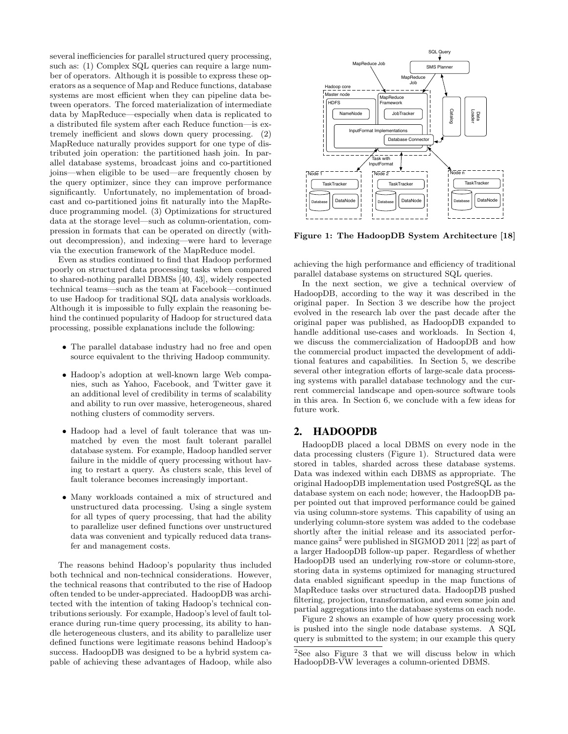several inefficiencies for parallel structured query processing, such as: (1) Complex SQL queries can require a large num- $\epsilon$  of  $\epsilon$  operators. Although it is possible to express these operators as a sequence of Map and Reduce functions, database systems are most efficient when they can pipeline data between operators. The forced materialization of intermediate data by MapReduce—especially when data is replicated to a distributed file system after each Reduce function—is extremely inefficient and slows down query processing. (2) MapReduce naturally provides support for one type of distributed join operation: the partitioned hash join. In parallel database systems, broadcast joins and co-partitioned joins—when eligible to be used—are frequently chosen by the query optimizer, since they can improve performance significantly. Unfortunately, no implementation of broadcast and co-partitioned joins fit naturally into the MapReduce programming model. (3) Optimizations for structured data at the storage level—such as column-orientation, compression in formats that can be operated on directly (without decompression), and indexing—were hard to leverage via the execution framework of the MapReduce model.

Even as studies continued to find that Hadoop performed poorly on structured data processing tasks when compared to shared-nothing parallel DBMSs [40, 43], widely respected technical teams—such as the team at Facebook—continued to use Hadoop for traditional SQL data analysis workloads. Although it is impossible to fully explain the reasoning behind the continued popularity of Hadoop for structured data processing, possible explanations include the following:

- The parallel database industry had no free and open source equivalent to the thriving Hadoop community. 5. HADOOPDB
- Hadoop's adoption at well-known large Web companies, such as Yahoo, Facebook, and Twitter gave it an additional level of credibility in terms of scalability and ability to run over massive, heterogeneous, shared nothing clusters of commodity servers.
- $\bullet$  Hadoop had a level of fault tolerance that was unmatched by even the most fault tolerant parallel  $database system.$  For example, Hadoop handled server failure in the middle of query processing without having to restart a query. As clusters scale, this level of fault tolerance becomes increasingly important.  $\frac{1}{\sqrt{2}}$
- Many workloads contained a mix of structured and unstructured data processing. Using a single system for all types of query processing, that had the ability to parallelize user defined functions over unstructured data was convenient and typically reduced data transfer and management costs.

The reasons behind Hadoop's popularity thus included both technical and non-technical considerations. However, the technical reasons that contributed to the rise of Hadoop often tended to be under-appreciated. HadoopDB was architected with the intention of taking Hadoop's technical contributions seriously. For example, Hadoop's level of fault tolerance during run-time query processing, its ability to handle heterogeneous clusters, and its ability to parallelize user defined functions were legitimate reasons behind Hadoop's success. HadoopDB was designed to be a hybrid system capable of achieving these advantages of Hadoop, while also The reasons behind Hadoop's popularity thus include



Figure 1: The HadoopDB System Architecture [18]

locality by matching a Taskstracker to Map tasks that process data process data process data process data proces achieving the high performance and efficiency of traditional  $\frac{1}{100}$ parallel database systems on structured SQL queries.

paramet database systems on structured SQL queries.<br>In the next section, we give a technical overview of In the next section, we give a technical overview of HadoopDB, according to the way it was described in the The Induced Exercise original paper. In Section 3 we describe how the project evolved in the research lab over the past decade after the original paper was published, as HadoopDB expanded to the data is profited, as hadoop by expanded to handle additional use-cases and workloads. In Section 4, nature discuss the commercialization of HadoopDB and how we discuss the commercialization of HadoopDB and how the commercial product impacted the development of additional features and capabilities. In Section 5, we describe several other integration efforts of large-scale data process-<br>ing grating with papellal database technology and the sum rent commercial landscape and open-source software tools in this area. In Section  $\overrightarrow{6}$ , we conclude with a few ideas for future work. ing systems with parallel database technology and the cur-

#### 2. HADOOPDB  $\overline{\mathbf{a}}$ ,  $\overline{\mathbf{a}}$  systems residing on  $\overline{\mathbf{a}}$

 $HadoopDB placed a local DBMS on every node in the$ data processing clusters (Figure 1). Structured data were stored in tables, sharded across these database systems. Data was indexed within each DBMS as appropriate. The original HadoopDB implementation used PostgreSQL as the database, executive the data base, executive  $\sum_{n=1}^{\infty}$ database system on each node; however, the HadoopDB paper pointed out that improved performance could be gained<br>per pointed out that improved performance could be gained via using column-store systems. This capability of using an underlying column-store system was added to the codebase and the control of MySQL and the MySQL shortly after the initial release and its associated performance gains<sup>2</sup> were published in SIGMOD 2011 [22] as part of indice gains were published in STOMOD 2011 [22] as part of<br>a larger HadoopDB follow-up paper. Regardless of whether a anger HadoopDB ishow ap paper. Regardless or whether<br>HadoopDB used an underlying row-store or column-store, storing data in systems optimized for managing structured data enabled significant speedup in the map functions of *5.2.2 Catalog* MapReduce tasks over structured data. HadoopDB pushed partial aggregations into the database systems on each node. via using column-store systems. This capability of using an filtering, projection, transformation, and even some join and

Figure 2 shows an example of how query processing work is pushed into the single node database systems. A SQL query is submitted to the system; in our example this query  $\frac{1}{2}$  in properties.

<sup>&</sup>lt;sup>2</sup>See also Figure 3 that we will discuss below in which  $\sum_{n=1}^{\infty}$ HadoopDB-VW leverages a column-oriented DBMS.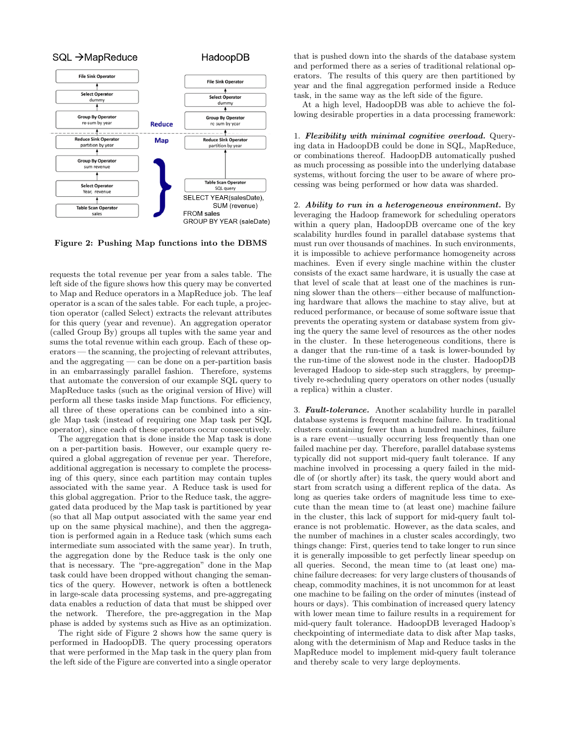

Figure 2: Pushing Map functions into the DBMS

requests the total revenue per year from a sales table. The left side of the figure shows how this query may be converted to Map and Reduce operators in a MapReduce job. The leaf operator is a scan of the sales table. For each tuple, a projection operator (called Select) extracts the relevant attributes for this query (year and revenue). An aggregation operator (called Group By) groups all tuples with the same year and sums the total revenue within each group. Each of these operators — the scanning, the projecting of relevant attributes, and the aggregating — can be done on a per-partition basis in an embarrassingly parallel fashion. Therefore, systems that automate the conversion of our example SQL query to MapReduce tasks (such as the original version of Hive) will perform all these tasks inside Map functions. For efficiency, all three of these operations can be combined into a single Map task (instead of requiring one Map task per SQL operator), since each of these operators occur consecutively.

The aggregation that is done inside the Map task is done on a per-partition basis. However, our example query required a global aggregation of revenue per year. Therefore, additional aggregation is necessary to complete the processing of this query, since each partition may contain tuples associated with the same year. A Reduce task is used for this global aggregation. Prior to the Reduce task, the aggregated data produced by the Map task is partitioned by year (so that all Map output associated with the same year end up on the same physical machine), and then the aggregation is performed again in a Reduce task (which sums each intermediate sum associated with the same year). In truth, the aggregation done by the Reduce task is the only one that is necessary. The "pre-aggregation" done in the Map task could have been dropped without changing the semantics of the query. However, network is often a bottleneck in large-scale data processing systems, and pre-aggregating data enables a reduction of data that must be shipped over the network. Therefore, the pre-aggregation in the Map phase is added by systems such as Hive as an optimization.

The right side of Figure 2 shows how the same query is performed in HadoopDB. The query processing operators that were performed in the Map task in the query plan from the left side of the Figure are converted into a single operator that is pushed down into the shards of the database system and performed there as a series of traditional relational operators. The results of this query are then partitioned by year and the final aggregation performed inside a Reduce task, in the same way as the left side of the figure.

At a high level, HadoopDB was able to achieve the following desirable properties in a data processing framework:

1. Flexibility with minimal cognitive overload. Querying data in HadoopDB could be done in SQL, MapReduce, or combinations thereof. HadoopDB automatically pushed as much processing as possible into the underlying database systems, without forcing the user to be aware of where processing was being performed or how data was sharded.

2. Ability to run in a heterogeneous environment. By leveraging the Hadoop framework for scheduling operators within a query plan, HadoopDB overcame one of the key scalability hurdles found in parallel database systems that must run over thousands of machines. In such environments, it is impossible to achieve performance homogeneity across machines. Even if every single machine within the cluster consists of the exact same hardware, it is usually the case at that level of scale that at least one of the machines is running slower than the others—either because of malfunctioning hardware that allows the machine to stay alive, but at reduced performance, or because of some software issue that prevents the operating system or database system from giving the query the same level of resources as the other nodes in the cluster. In these heterogeneous conditions, there is a danger that the run-time of a task is lower-bounded by the run-time of the slowest node in the cluster. HadoopDB leveraged Hadoop to side-step such stragglers, by preemptively re-scheduling query operators on other nodes (usually a replica) within a cluster.

3. Fault-tolerance. Another scalability hurdle in parallel database systems is frequent machine failure. In traditional clusters containing fewer than a hundred machines, failure is a rare event—usually occurring less frequently than one failed machine per day. Therefore, parallel database systems typically did not support mid-query fault tolerance. If any machine involved in processing a query failed in the middle of (or shortly after) its task, the query would abort and start from scratch using a different replica of the data. As long as queries take orders of magnitude less time to execute than the mean time to (at least one) machine failure in the cluster, this lack of support for mid-query fault tolerance is not problematic. However, as the data scales, and the number of machines in a cluster scales accordingly, two things change: First, queries tend to take longer to run since it is generally impossible to get perfectly linear speedup on all queries. Second, the mean time to (at least one) machine failure decreases: for very large clusters of thousands of cheap, commodity machines, it is not uncommon for at least one machine to be failing on the order of minutes (instead of hours or days). This combination of increased query latency with lower mean time to failure results in a requirement for mid-query fault tolerance. HadoopDB leveraged Hadoop's checkpointing of intermediate data to disk after Map tasks, along with the determinism of Map and Reduce tasks in the MapReduce model to implement mid-query fault tolerance and thereby scale to very large deployments.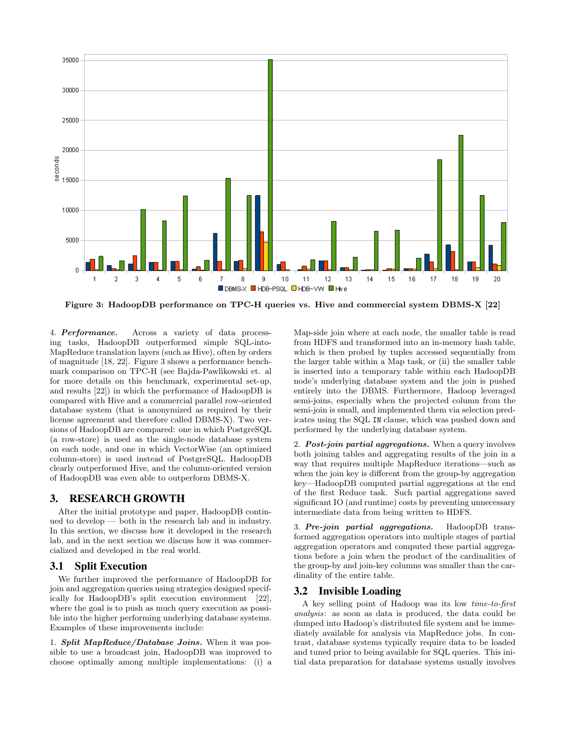

Figure 3: HadoopDB performance on TPC-H queries vs. Hive and commercial system DBMS-X [22]

4. Performance. Across a variety of data processing tasks, HadoopDB outperformed simple SQL-into-MapReduce translation layers (such as Hive), often by orders of magnitude [18, 22]. Figure 3 shows a performance benchmark comparison on TPC-H (see Bajda-Pawlikowski et. al for more details on this benchmark, experimental set-up, and results [22]) in which the performance of HadoopDB is compared with Hive and a commercial parallel row-oriented database system (that is anonymized as required by their license agreement and therefore called DBMS-X). Two versions of HadoopDB are compared: one in which PostgreSQL (a row-store) is used as the single-node database system on each node, and one in which VectorWise (an optimized column-store) is used instead of PostgreSQL. HadoopDB clearly outperformed Hive, and the column-oriented version of HadoopDB was even able to outperform DBMS-X.

## 3. RESEARCH GROWTH

After the initial prototype and paper, HadoopDB continued to develop — both in the research lab and in industry. In this section, we discuss how it developed in the research lab, and in the next section we discuss how it was commercialized and developed in the real world.

### 3.1 Split Execution

We further improved the performance of HadoopDB for join and aggregation queries using strategies designed specifically for HadoopDB's split execution environment [22], where the goal is to push as much query execution as possible into the higher performing underlying database systems. Examples of these improvements include:

1. **Split MapReduce/Database Joins.** When it was possible to use a broadcast join, HadoopDB was improved to choose optimally among multiple implementations: (i) a Map-side join where at each node, the smaller table is read from HDFS and transformed into an in-memory hash table, which is then probed by tuples accessed sequentially from the larger table within a Map task, or (ii) the smaller table is inserted into a temporary table within each HadoopDB node's underlying database system and the join is pushed entirely into the DBMS. Furthermore, Hadoop leveraged semi-joins, especially when the projected column from the semi-join is small, and implemented them via selection predicates using the SQL IN clause, which was pushed down and performed by the underlying database system.

2. **Post-join partial aggregations.** When a query involves both joining tables and aggregating results of the join in a way that requires multiple MapReduce iterations—such as when the join key is different from the group-by aggregation key—HadoopDB computed partial aggregations at the end of the first Reduce task. Such partial aggregations saved significant IO (and runtime) costs by preventing unnecessary intermediate data from being written to HDFS.

3. Pre-join partial aggregations. HadoopDB transformed aggregation operators into multiple stages of partial aggregation operators and computed these partial aggregations before a join when the product of the cardinalities of the group-by and join-key columns was smaller than the cardinality of the entire table.

# 3.2 Invisible Loading

A key selling point of Hadoop was its low time-to-first analysis: as soon as data is produced, the data could be dumped into Hadoop's distributed file system and be immediately available for analysis via MapReduce jobs. In contrast, database systems typically require data to be loaded and tuned prior to being available for SQL queries. This initial data preparation for database systems usually involves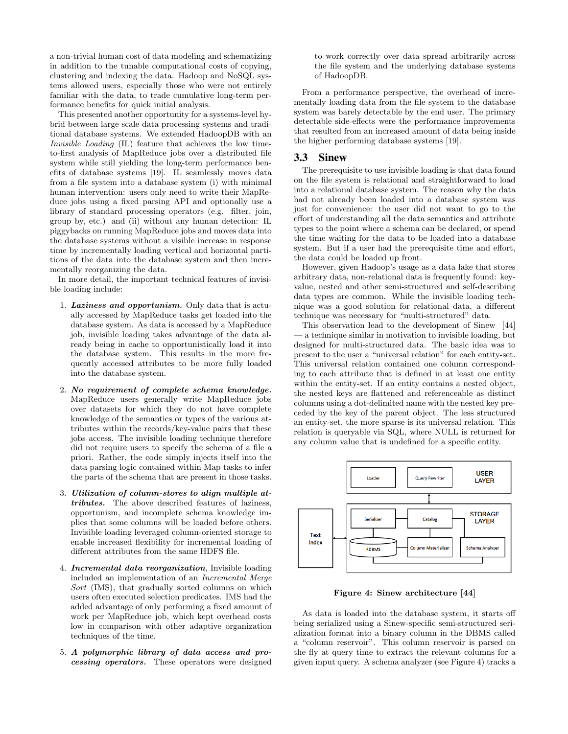a non-trivial human cost of data modeling and schematizing in addition to the tunable computational costs of copying, clustering and indexing the data. Hadoop and NoSQL systems allowed users, especially those who were not entirely familiar with the data, to trade cumulative long-term performance benefits for quick initial analysis.

This presented another opportunity for a systems-level hybrid between large scale data processing systems and traditional database systems. We extended HadoopDB with an Invisible Loading (IL) feature that achieves the low timeto-first analysis of MapReduce jobs over a distributed file system while still yielding the long-term performance benefits of database systems [19]. IL seamlessly moves data from a file system into a database system (i) with minimal human intervention: users only need to write their MapReduce jobs using a fixed parsing API and optionally use a library of standard processing operators (e.g. filter, join, group by, etc.) and (ii) without any human detection: IL piggybacks on running MapReduce jobs and moves data into the database systems without a visible increase in response time by incrementally loading vertical and horizontal partitions of the data into the database system and then incrementally reorganizing the data.

In more detail, the important technical features of invisible loading include:

- 1. Laziness and opportunism. Only data that is actually accessed by MapReduce tasks get loaded into the database system. As data is accessed by a MapReduce job, invisible loading takes advantage of the data already being in cache to opportunistically load it into the database system. This results in the more frequently accessed attributes to be more fully loaded into the database system.
- 2. No requirement of complete schema knowledge. MapReduce users generally write MapReduce jobs over datasets for which they do not have complete knowledge of the semantics or types of the various attributes within the records/key-value pairs that these jobs access. The invisible loading technique therefore did not require users to specify the schema of a file a priori. Rather, the code simply injects itself into the data parsing logic contained within Map tasks to infer the parts of the schema that are present in those tasks.
- 3. Utilization of column-stores to align multiple attributes. The above described features of laziness, opportunism, and incomplete schema knowledge implies that some columns will be loaded before others. Invisible loading leveraged column-oriented storage to enable increased flexibility for incremental loading of different attributes from the same HDFS file.
- 4. **Incremental data reorganization**, Invisible loading included an implementation of an Incremental Merge Sort (IMS), that gradually sorted columns on which users often executed selection predicates. IMS had the added advantage of only performing a fixed amount of work per MapReduce job, which kept overhead costs low in comparison with other adaptive organization techniques of the time.
- 5. A polymorphic library of data access and processing operators. These operators were designed

to work correctly over data spread arbitrarily across the file system and the underlying database systems of HadoopDB.

From a performance perspective, the overhead of incrementally loading data from the file system to the database system was barely detectable by the end user. The primary detectable side-effects were the performance improvements that resulted from an increased amount of data being inside the higher performing database systems [19].

#### 3.3 Sinew

The prerequisite to use invisible loading is that data found on the file system is relational and straightforward to load into a relational database system. The reason why the data had not already been loaded into a database system was just for convenience: the user did not want to go to the effort of understanding all the data semantics and attribute types to the point where a schema can be declared, or spend the time waiting for the data to be loaded into a database system. But if a user had the prerequisite time and effort, the data could be loaded up front.

However, given Hadoop's usage as a data lake that stores arbitrary data, non-relational data is frequently found: keyvalue, nested and other semi-structured and self-describing data types are common. While the invisible loading technique was a good solution for relational data, a different technique was necessary for "multi-structured" data.

This observation lead to the development of Sinew [44] — a technique similar in motivation to invisible loading, but designed for multi-structured data. The basic idea was to present to the user a "universal relation" for each entity-set. This universal relation contained one column corresponding to each attribute that is defined in at least one entity within the entity-set. If an entity contains a nested object, the nested keys are flattened and referenceable as distinct columns using a dot-delimited name with the nested key preceded by the key of the parent object. The less structured an entity-set, the more sparse is its universal relation. This relation is queryable via SQL, where NULL is returned for any column value that is undefined for a specific entity.



Figure 4: Sinew architecture [44]

As data is loaded into the database system, it starts off being serialized using a Sinew-specific semi-structured serialization format into a binary column in the DBMS called a "column reservoir". This column reservoir is parsed on the fly at query time to extract the relevant columns for a given input query. A schema analyzer (see Figure 4) tracks a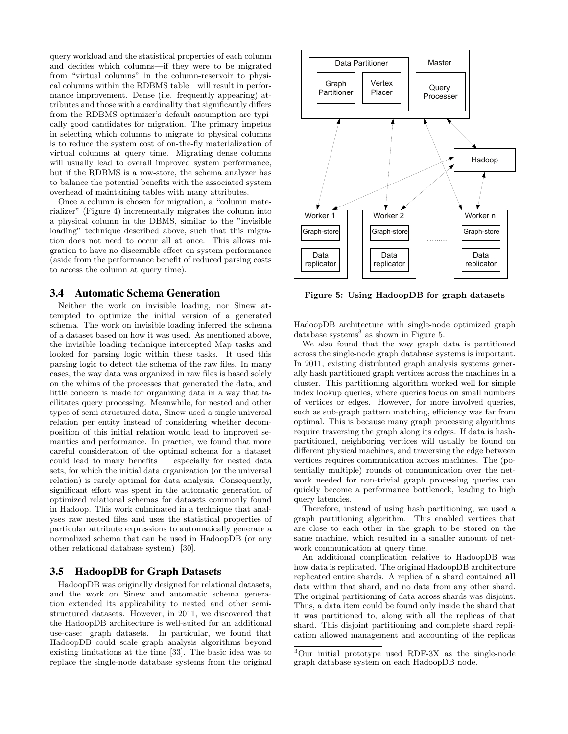query workload and the statistical properties of each column and decides which columns—if they were to be migrated from "virtual columns" in the column-reservoir to physical columns within the RDBMS table—will result in performance improvement. Dense (i.e. frequently appearing) attributes and those with a cardinality that significantly differs from the RDBMS optimizer's default assumption are typically good candidates for migration. The primary impetus in selecting which columns to migrate to physical columns is to reduce the system cost of on-the-fly materialization of virtual columns at query time. Migrating dense columns will usually lead to overall improved system performance, but if the RDBMS is a row-store, the schema analyzer has to balance the potential benefits with the associated system overhead of maintaining tables with many attributes.

Once a column is chosen for migration, a "column materializer" (Figure 4) incrementally migrates the column into a physical column in the DBMS, similar to the "invisible loading" technique described above, such that this migration does not need to occur all at once. This allows migration to have no discernible effect on system performance (aside from the performance benefit of reduced parsing costs to access the column at query time).

#### 3.4 Automatic Schema Generation

Neither the work on invisible loading, nor Sinew attempted to optimize the initial version of a generated schema. The work on invisible loading inferred the schema of a dataset based on how it was used. As mentioned above, the invisible loading technique intercepted Map tasks and looked for parsing logic within these tasks. It used this parsing logic to detect the schema of the raw files. In many cases, the way data was organized in raw files is based solely on the whims of the processes that generated the data, and little concern is made for organizing data in a way that facilitates query processing. Meanwhile, for nested and other types of semi-structured data, Sinew used a single universal relation per entity instead of considering whether decomposition of this initial relation would lead to improved semantics and performance. In practice, we found that more careful consideration of the optimal schema for a dataset could lead to many benefits — especially for nested data sets, for which the initial data organization (or the universal relation) is rarely optimal for data analysis. Consequently, significant effort was spent in the automatic generation of optimized relational schemas for datasets commonly found in Hadoop. This work culminated in a technique that analyses raw nested files and uses the statistical properties of particular attribute expressions to automatically generate a normalized schema that can be used in HadoopDB (or any other relational database system) [30].

## 3.5 HadoopDB for Graph Datasets

HadoopDB was originally designed for relational datasets, and the work on Sinew and automatic schema generation extended its applicability to nested and other semistructured datasets. However, in 2011, we discovered that the HadoopDB architecture is well-suited for an additional use-case: graph datasets. In particular, we found that HadoopDB could scale graph analysis algorithms beyond existing limitations at the time [33]. The basic idea was to replace the single-node database systems from the original



Figure 5: Using HadoopDB for graph datasets

HadoopDB architecture with single-node optimized graph database systems<sup>3</sup> as shown in Figure 5.

We also found that the way graph data is partitioned across the single-node graph database systems is important. In 2011, existing distributed graph analysis systems generally hash partitioned graph vertices across the machines in a cluster. This partitioning algorithm worked well for simple index lookup queries, where queries focus on small numbers of vertices or edges. However, for more involved queries, such as sub-graph pattern matching, efficiency was far from optimal. This is because many graph processing algorithms require traversing the graph along its edges. If data is hashpartitioned, neighboring vertices will usually be found on different physical machines, and traversing the edge between vertices requires communication across machines. The (potentially multiple) rounds of communication over the network needed for non-trivial graph processing queries can quickly become a performance bottleneck, leading to high query latencies.

Therefore, instead of using hash partitioning, we used a graph partitioning algorithm. This enabled vertices that are close to each other in the graph to be stored on the same machine, which resulted in a smaller amount of network communication at query time.

An additional complication relative to HadoopDB was how data is replicated. The original HadoopDB architecture replicated entire shards. A replica of a shard contained all data within that shard, and no data from any other shard. The original partitioning of data across shards was disjoint. Thus, a data item could be found only inside the shard that it was partitioned to, along with all the replicas of that shard. This disjoint partitioning and complete shard replication allowed management and accounting of the replicas

<sup>3</sup>Our initial prototype used RDF-3X as the single-node graph database system on each HadoopDB node.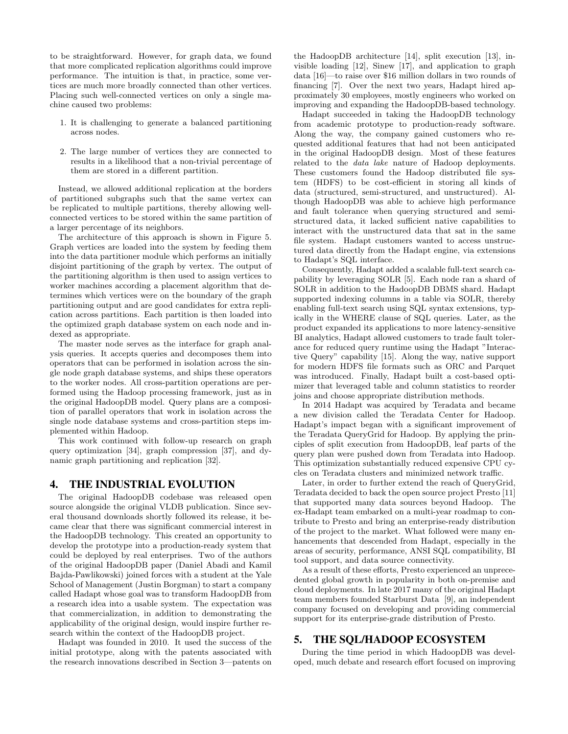to be straightforward. However, for graph data, we found that more complicated replication algorithms could improve performance. The intuition is that, in practice, some vertices are much more broadly connected than other vertices. Placing such well-connected vertices on only a single machine caused two problems:

- 1. It is challenging to generate a balanced partitioning across nodes.
- 2. The large number of vertices they are connected to results in a likelihood that a non-trivial percentage of them are stored in a different partition.

Instead, we allowed additional replication at the borders of partitioned subgraphs such that the same vertex can be replicated to multiple partitions, thereby allowing wellconnected vertices to be stored within the same partition of a larger percentage of its neighbors.

The architecture of this approach is shown in Figure 5. Graph vertices are loaded into the system by feeding them into the data partitioner module which performs an initially disjoint partitioning of the graph by vertex. The output of the partitioning algorithm is then used to assign vertices to worker machines according a placement algorithm that determines which vertices were on the boundary of the graph partitioning output and are good candidates for extra replication across partitions. Each partition is then loaded into the optimized graph database system on each node and indexed as appropriate.

The master node serves as the interface for graph analysis queries. It accepts queries and decomposes them into operators that can be performed in isolation across the single node graph database systems, and ships these operators to the worker nodes. All cross-partition operations are performed using the Hadoop processing framework, just as in the original HadoopDB model. Query plans are a composition of parallel operators that work in isolation across the single node database systems and cross-partition steps implemented within Hadoop.

This work continued with follow-up research on graph query optimization [34], graph compression [37], and dynamic graph partitioning and replication [32].

## 4. THE INDUSTRIAL EVOLUTION

The original HadoopDB codebase was released open source alongside the original VLDB publication. Since several thousand downloads shortly followed its release, it became clear that there was significant commercial interest in the HadoopDB technology. This created an opportunity to develop the prototype into a production-ready system that could be deployed by real enterprises. Two of the authors of the original HadoopDB paper (Daniel Abadi and Kamil Bajda-Pawlikowski) joined forces with a student at the Yale School of Management (Justin Borgman) to start a company called Hadapt whose goal was to transform HadoopDB from a research idea into a usable system. The expectation was that commercialization, in addition to demonstrating the applicability of the original design, would inspire further research within the context of the HadoopDB project.

Hadapt was founded in 2010. It used the success of the initial prototype, along with the patents associated with the research innovations described in Section 3—patents on the HadoopDB architecture [14], split execution [13], invisible loading [12], Sinew [17], and application to graph data [16]—to raise over \$16 million dollars in two rounds of financing [7]. Over the next two years, Hadapt hired approximately 30 employees, mostly engineers who worked on improving and expanding the HadoopDB-based technology.

Hadapt succeeded in taking the HadoopDB technology from academic prototype to production-ready software. Along the way, the company gained customers who requested additional features that had not been anticipated in the original HadoopDB design. Most of these features related to the data lake nature of Hadoop deployments. These customers found the Hadoop distributed file system (HDFS) to be cost-efficient in storing all kinds of data (structured, semi-structured, and unstructured). Although HadoopDB was able to achieve high performance and fault tolerance when querying structured and semistructured data, it lacked sufficient native capabilities to interact with the unstructured data that sat in the same file system. Hadapt customers wanted to access unstructured data directly from the Hadapt engine, via extensions to Hadapt's SQL interface.

Consequently, Hadapt added a scalable full-text search capability by leveraging SOLR [5]. Each node ran a shard of SOLR in addition to the HadoopDB DBMS shard. Hadapt supported indexing columns in a table via SOLR, thereby enabling full-text search using SQL syntax extensions, typically in the WHERE clause of SQL queries. Later, as the product expanded its applications to more latency-sensitive BI analytics, Hadapt allowed customers to trade fault tolerance for reduced query runtime using the Hadapt "Interactive Query" capability [15]. Along the way, native support for modern HDFS file formats such as ORC and Parquet was introduced. Finally, Hadapt built a cost-based optimizer that leveraged table and column statistics to reorder joins and choose appropriate distribution methods.

In 2014 Hadapt was acquired by Teradata and became a new division called the Teradata Center for Hadoop. Hadapt's impact began with a significant improvement of the Teradata QueryGrid for Hadoop. By applying the principles of split execution from HadoopDB, leaf parts of the query plan were pushed down from Teradata into Hadoop. This optimization substantially reduced expensive CPU cycles on Teradata clusters and minimized network traffic.

Later, in order to further extend the reach of QueryGrid, Teradata decided to back the open source project Presto [11] that supported many data sources beyond Hadoop. The ex-Hadapt team embarked on a multi-year roadmap to contribute to Presto and bring an enterprise-ready distribution of the project to the market. What followed were many enhancements that descended from Hadapt, especially in the areas of security, performance, ANSI SQL compatibility, BI tool support, and data source connectivity.

As a result of these efforts, Presto experienced an unprecedented global growth in popularity in both on-premise and cloud deployments. In late 2017 many of the original Hadapt team members founded Starburst Data [9], an independent company focused on developing and providing commercial support for its enterprise-grade distribution of Presto.

## 5. THE SQL/HADOOP ECOSYSTEM

During the time period in which HadoopDB was developed, much debate and research effort focused on improving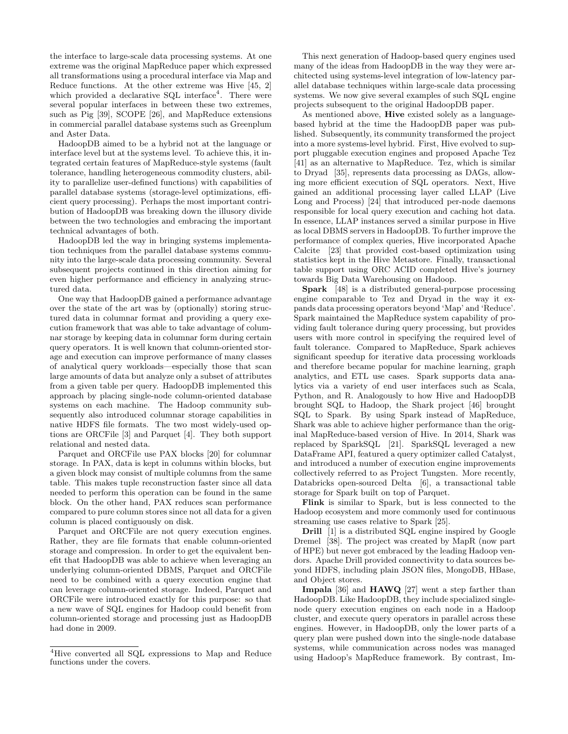the interface to large-scale data processing systems. At one extreme was the original MapReduce paper which expressed all transformations using a procedural interface via Map and Reduce functions. At the other extreme was Hive [45, 2] which provided a declarative SQL interface<sup>4</sup>. There were several popular interfaces in between these two extremes, such as Pig [39], SCOPE [26], and MapReduce extensions in commercial parallel database systems such as Greenplum and Aster Data.

HadoopDB aimed to be a hybrid not at the language or interface level but at the systems level. To achieve this, it integrated certain features of MapReduce-style systems (fault tolerance, handling heterogeneous commodity clusters, ability to parallelize user-defined functions) with capabilities of parallel database systems (storage-level optimizations, efficient query processing). Perhaps the most important contribution of HadoopDB was breaking down the illusory divide between the two technologies and embracing the important technical advantages of both.

HadoopDB led the way in bringing systems implementation techniques from the parallel database systems community into the large-scale data processing community. Several subsequent projects continued in this direction aiming for even higher performance and efficiency in analyzing structured data.

One way that HadoopDB gained a performance advantage over the state of the art was by (optionally) storing structured data in columnar format and providing a query execution framework that was able to take advantage of columnar storage by keeping data in columnar form during certain query operators. It is well known that column-oriented storage and execution can improve performance of many classes of analytical query workloads—especially those that scan large amounts of data but analyze only a subset of attributes from a given table per query. HadoopDB implemented this approach by placing single-node column-oriented database systems on each machine. The Hadoop community subsequently also introduced columnar storage capabilities in native HDFS file formats. The two most widely-used options are ORCFile [3] and Parquet [4]. They both support relational and nested data.

Parquet and ORCFile use PAX blocks [20] for columnar storage. In PAX, data is kept in columns within blocks, but a given block may consist of multiple columns from the same table. This makes tuple reconstruction faster since all data needed to perform this operation can be found in the same block. On the other hand, PAX reduces scan performance compared to pure column stores since not all data for a given column is placed contiguously on disk.

Parquet and ORCFile are not query execution engines. Rather, they are file formats that enable column-oriented storage and compression. In order to get the equivalent benefit that HadoopDB was able to achieve when leveraging an underlying column-oriented DBMS, Parquet and ORCFile need to be combined with a query execution engine that can leverage column-oriented storage. Indeed, Parquet and ORCFile were introduced exactly for this purpose: so that a new wave of SQL engines for Hadoop could benefit from column-oriented storage and processing just as HadoopDB had done in 2009.

This next generation of Hadoop-based query engines used many of the ideas from HadoopDB in the way they were architected using systems-level integration of low-latency parallel database techniques within large-scale data processing systems. We now give several examples of such SQL engine projects subsequent to the original HadoopDB paper.

As mentioned above, Hive existed solely as a languagebased hybrid at the time the HadoopDB paper was published. Subsequently, its community transformed the project into a more systems-level hybrid. First, Hive evolved to support pluggable execution engines and proposed Apache Tez [41] as an alternative to MapReduce. Tez, which is similar to Dryad [35], represents data processing as DAGs, allowing more efficient execution of SQL operators. Next, Hive gained an additional processing layer called LLAP (Live Long and Process) [24] that introduced per-node daemons responsible for local query execution and caching hot data. In essence, LLAP instances served a similar purpose in Hive as local DBMS servers in HadoopDB. To further improve the performance of complex queries, Hive incorporated Apache Calcite [23] that provided cost-based optimization using statistics kept in the Hive Metastore. Finally, transactional table support using ORC ACID completed Hive's journey towards Big Data Warehousing on Hadoop.

Spark [48] is a distributed general-purpose processing engine comparable to Tez and Dryad in the way it expands data processing operators beyond 'Map' and 'Reduce'. Spark maintained the MapReduce system capability of providing fault tolerance during query processing, but provides users with more control in specifying the required level of fault tolerance. Compared to MapReduce, Spark achieves significant speedup for iterative data processing workloads and therefore became popular for machine learning, graph analytics, and ETL use cases. Spark supports data analytics via a variety of end user interfaces such as Scala, Python, and R. Analogously to how Hive and HadoopDB brought SQL to Hadoop, the Shark project [46] brought SQL to Spark. By using Spark instead of MapReduce, Shark was able to achieve higher performance than the original MapReduce-based version of Hive. In 2014, Shark was replaced by SparkSQL [21]. SparkSQL leveraged a new DataFrame API, featured a query optimizer called Catalyst, and introduced a number of execution engine improvements collectively referred to as Project Tungsten. More recently, Databricks open-sourced Delta [6], a transactional table storage for Spark built on top of Parquet.

Flink is similar to Spark, but is less connected to the Hadoop ecosystem and more commonly used for continuous streaming use cases relative to Spark [25].

Drill [1] is a distributed SQL engine inspired by Google Dremel [38]. The project was created by MapR (now part of HPE) but never got embraced by the leading Hadoop vendors. Apache Drill provided connectivity to data sources beyond HDFS, including plain JSON files, MongoDB, HBase, and Object stores.

Impala [36] and HAWQ [27] went a step farther than HadoopDB. Like HadoopDB, they include specialized singlenode query execution engines on each node in a Hadoop cluster, and execute query operators in parallel across these engines. However, in HadoopDB, only the lower parts of a query plan were pushed down into the single-node database systems, while communication across nodes was managed using Hadoop's MapReduce framework. By contrast, Im-

<sup>4</sup>Hive converted all SQL expressions to Map and Reduce functions under the covers.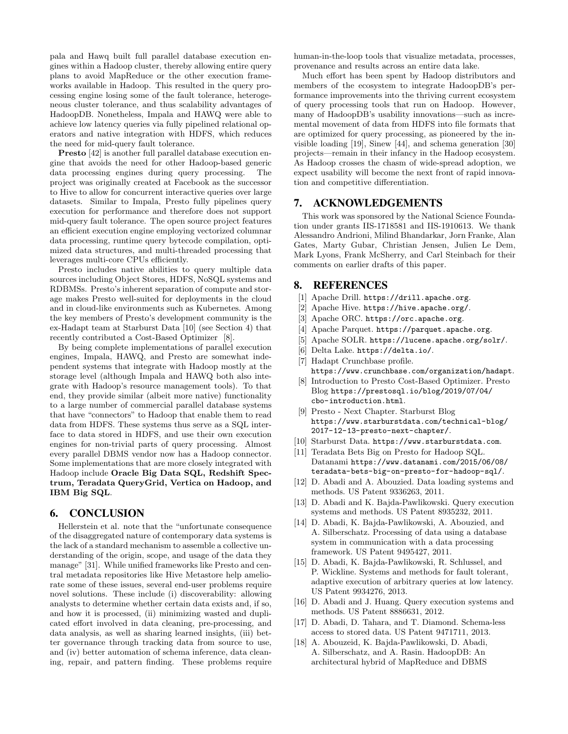pala and Hawq built full parallel database execution engines within a Hadoop cluster, thereby allowing entire query plans to avoid MapReduce or the other execution frameworks available in Hadoop. This resulted in the query processing engine losing some of the fault tolerance, heterogeneous cluster tolerance, and thus scalability advantages of HadoopDB. Nonetheless, Impala and HAWQ were able to achieve low latency queries via fully pipelined relational operators and native integration with HDFS, which reduces the need for mid-query fault tolerance.

Presto [42] is another full parallel database execution engine that avoids the need for other Hadoop-based generic data processing engines during query processing. The project was originally created at Facebook as the successor to Hive to allow for concurrent interactive queries over large datasets. Similar to Impala, Presto fully pipelines query execution for performance and therefore does not support mid-query fault tolerance. The open source project features an efficient execution engine employing vectorized columnar data processing, runtime query bytecode compilation, optimized data structures, and multi-threaded processing that leverages multi-core CPUs efficiently.

Presto includes native abilities to query multiple data sources including Object Stores, HDFS, NoSQL systems and RDBMSs. Presto's inherent separation of compute and storage makes Presto well-suited for deployments in the cloud and in cloud-like environments such as Kubernetes. Among the key members of Presto's development community is the ex-Hadapt team at Starburst Data [10] (see Section 4) that recently contributed a Cost-Based Optimizer [8].

By being complete implementations of parallel execution engines, Impala, HAWQ, and Presto are somewhat independent systems that integrate with Hadoop mostly at the storage level (although Impala and HAWQ both also integrate with Hadoop's resource management tools). To that end, they provide similar (albeit more native) functionality to a large number of commercial parallel database systems that have "connectors" to Hadoop that enable them to read data from HDFS. These systems thus serve as a SQL interface to data stored in HDFS, and use their own execution engines for non-trivial parts of query processing. Almost every parallel DBMS vendor now has a Hadoop connector. Some implementations that are more closely integrated with Hadoop include Oracle Big Data SQL, Redshift Spectrum, Teradata QueryGrid, Vertica on Hadoop, and IBM Big SQL.

## 6. CONCLUSION

Hellerstein et al. note that the "unfortunate consequence of the disaggregated nature of contemporary data systems is the lack of a standard mechanism to assemble a collective understanding of the origin, scope, and usage of the data they manage" [31]. While unified frameworks like Presto and central metadata repositories like Hive Metastore help ameliorate some of these issues, several end-user problems require novel solutions. These include (i) discoverability: allowing analysts to determine whether certain data exists and, if so, and how it is processed, (ii) minimizing wasted and duplicated effort involved in data cleaning, pre-processing, and data analysis, as well as sharing learned insights, (iii) better governance through tracking data from source to use, and (iv) better automation of schema inference, data cleaning, repair, and pattern finding. These problems require human-in-the-loop tools that visualize metadata, processes, provenance and results across an entire data lake.

Much effort has been spent by Hadoop distributors and members of the ecosystem to integrate HadoopDB's performance improvements into the thriving current ecosystem of query processing tools that run on Hadoop. However, many of HadoopDB's usability innovations—such as incremental movement of data from HDFS into file formats that are optimized for query processing, as pioneered by the invisible loading [19], Sinew [44], and schema generation [30] projects—remain in their infancy in the Hadoop ecosystem. As Hadoop crosses the chasm of wide-spread adoption, we expect usability will become the next front of rapid innovation and competitive differentiation.

# 7. ACKNOWLEDGEMENTS

This work was sponsored by the National Science Foundation under grants IIS-1718581 and IIS-1910613. We thank Alessandro Andrioni, Milind Bhandarkar, Jorn Franke, Alan Gates, Marty Gubar, Christian Jensen, Julien Le Dem, Mark Lyons, Frank McSherry, and Carl Steinbach for their comments on earlier drafts of this paper.

# 8. REFERENCES

- [1] Apache Drill. https://drill.apache.org.
- [2] Apache Hive. https://hive.apache.org/.
- [3] Apache ORC. https://orc.apache.org.
- [4] Apache Parquet. https://parquet.apache.org.
- [5] Apache SOLR. https://lucene.apache.org/solr/.
- [6] Delta Lake. https://delta.io/.
- [7] Hadapt Crunchbase profile. https://www.crunchbase.com/organization/hadapt.
- [8] Introduction to Presto Cost-Based Optimizer. Presto Blog https://prestosql.io/blog/2019/07/04/ cbo-introduction.html.
- [9] Presto Next Chapter. Starburst Blog https://www.starburstdata.com/technical-blog/ 2017-12-13-presto-next-chapter/.
- [10] Starburst Data. https://www.starburstdata.com.
- [11] Teradata Bets Big on Presto for Hadoop SQL. Datanami https://www.datanami.com/2015/06/08/ teradata-bets-big-on-presto-for-hadoop-sql/.
- [12] D. Abadi and A. Abouzied. Data loading systems and methods. US Patent 9336263, 2011.
- [13] D. Abadi and K. Bajda-Pawlikowski. Query execution systems and methods. US Patent 8935232, 2011.
- [14] D. Abadi, K. Bajda-Pawlikowski, A. Abouzied, and A. Silberschatz. Processing of data using a database system in communication with a data processing framework. US Patent 9495427, 2011.
- [15] D. Abadi, K. Bajda-Pawlikowski, R. Schlussel, and P. Wickline. Systems and methods for fault tolerant, adaptive execution of arbitrary queries at low latency. US Patent 9934276, 2013.
- [16] D. Abadi and J. Huang. Query execution systems and methods. US Patent 8886631, 2012.
- [17] D. Abadi, D. Tahara, and T. Diamond. Schema-less access to stored data. US Patent 9471711, 2013.
- [18] A. Abouzeid, K. Bajda-Pawlikowski, D. Abadi, A. Silberschatz, and A. Rasin. HadoopDB: An architectural hybrid of MapReduce and DBMS